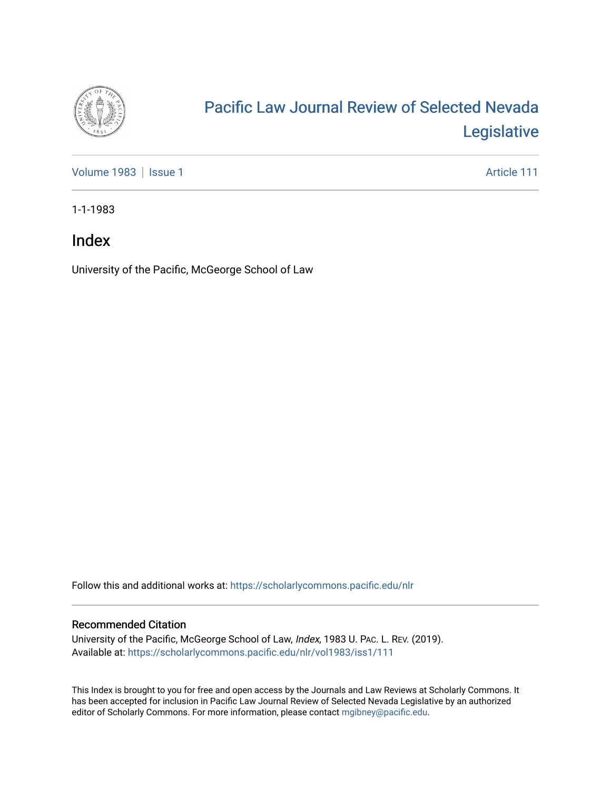

# [Pacific Law Journal Review of Selected Nevada](https://scholarlycommons.pacific.edu/nlr)  [Legislative](https://scholarlycommons.pacific.edu/nlr)

[Volume 1983](https://scholarlycommons.pacific.edu/nlr/vol1983) | [Issue 1](https://scholarlycommons.pacific.edu/nlr/vol1983/iss1) Article 111

1-1-1983

### Index

University of the Pacific, McGeorge School of Law

Follow this and additional works at: [https://scholarlycommons.pacific.edu/nlr](https://scholarlycommons.pacific.edu/nlr?utm_source=scholarlycommons.pacific.edu%2Fnlr%2Fvol1983%2Fiss1%2F111&utm_medium=PDF&utm_campaign=PDFCoverPages) 

#### Recommended Citation

University of the Pacific, McGeorge School of Law, Index, 1983 U. PAC. L. REV. (2019). Available at: [https://scholarlycommons.pacific.edu/nlr/vol1983/iss1/111](https://scholarlycommons.pacific.edu/nlr/vol1983/iss1/111?utm_source=scholarlycommons.pacific.edu%2Fnlr%2Fvol1983%2Fiss1%2F111&utm_medium=PDF&utm_campaign=PDFCoverPages) 

This Index is brought to you for free and open access by the Journals and Law Reviews at Scholarly Commons. It has been accepted for inclusion in Pacific Law Journal Review of Selected Nevada Legislative by an authorized editor of Scholarly Commons. For more information, please contact [mgibney@pacific.edu](mailto:mgibney@pacific.edu).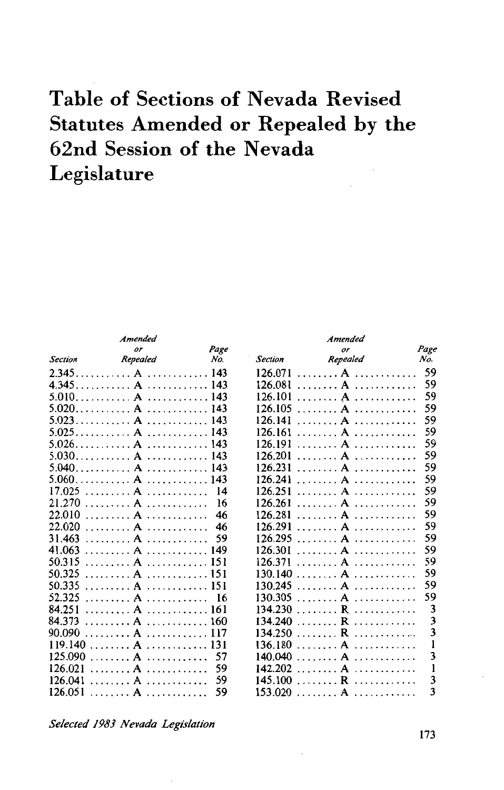## **Table of Sections of Nevada Revised Statutes Amended or Repealed by the 62nd Session of the Nevada Legislature**

|                              | Amended               |      |                | Amended                                                      |      |
|------------------------------|-----------------------|------|----------------|--------------------------------------------------------------|------|
|                              | or                    | Page |                | or                                                           | Page |
| <b>Section</b>               | Repealed              | No.  | <b>Section</b> | Repealed                                                     | No.  |
| 2.345.                       |                       |      | 126.071        | . A                                                          | 59   |
| 4.345                        | . <b>A</b>            | 143  | 126.081        | A<br>.                                                       | 59   |
|                              | .                     | 143  | 126.101        | . A<br>.                                                     | 59   |
| $5.020$ A                    | .                     | 143  | 126.105        | .                                                            | 59   |
| 5.023.                       |                       | 143  | 126.141        | $\sim$ $\sim$ $\sim$ $\sim$ $\sim$ $\sim$ $\sim$ $\sim$<br>. | 59   |
| 5.025                        | .                     | 143  | 126.161        | A                                                            | 59   |
| 5.026.                       |                       | 143  | 126.191        | . A<br>.                                                     | 59   |
| $5.030$ A                    | .                     | 143  | 126.201        | . A<br>.                                                     | 59   |
| 5.040                        | . <b>A</b><br>.       | 143  | 126.231        | . <b>A</b><br>.                                              | 59   |
| 5.060.                       | . $A$                 | 143  | 126.241        | . <b>A</b><br>.                                              | 59   |
| 17.025<br>and a strip of the | .                     | 14   | 126.251        | $\blacktriangle$<br>.                                        | 59   |
| 21.270                       | . <b>A</b><br>.       | 16   | 126.261        | . A<br>.                                                     | 59   |
| 22.010<br>.                  | .                     | 46   | 126.281        | .                                                            | 59   |
| 22.020                       |                       | 46   | 126.291        | . <b>A</b><br>.                                              | 59   |
| 31.463                       | . <b>A</b><br>.       | 59   | 126.295        | . <b>A</b><br>.                                              | 59   |
| 41.063                       | .                     | 149  | 126.301        | $\mathbf{A}$<br>.                                            | 59   |
| 50.315                       | . <b>. . A</b>        | 151  | 126.371        | . <b>A</b><br>. <i>. .</i>                                   | 59   |
| 50.325                       | . <b>A</b><br>.       | 151  | 130.140        | A<br>.                                                       | 59   |
| 50.335                       | . <b>A</b>            | 151  | 130.245        | . <b>A</b><br>.                                              | 59   |
| 52.325                       | Δ<br>.                | 16   | 130.305        | $\blacktriangle$<br>.<br>.                                   | 59   |
| 84.251                       |                       | 161  | 134.230        | . <b>R</b><br>.                                              | 3    |
| 84.373                       | . <b>A</b><br><b></b> | 160  | 134.240        | $\overline{R}$<br>. <b>.</b>                                 | 3    |
| 90.090                       | .                     |      | 134.250        | . <b>R</b><br>.                                              | 3    |
| 119.140                      | . <b>A</b><br>.       | 131  | 136.180        | . <b>A</b><br>.                                              |      |
| 125.090                      | .                     | 57   | 140.040        | A<br>.                                                       | 3    |
| 126.021                      | . <b>A</b><br>.       | 59   | 142.202        | . <b>A</b><br>.                                              | 1    |
| 126.041                      | .<br>.                | 59   | 145.100        | . <b>R</b><br>. <i>.</i> .                                   | 3    |
| 126.051                      |                       | 59   | 153.020        | . <b>A</b>                                                   | 3    |

*Selected 1983 Nevada Legislation* 

I73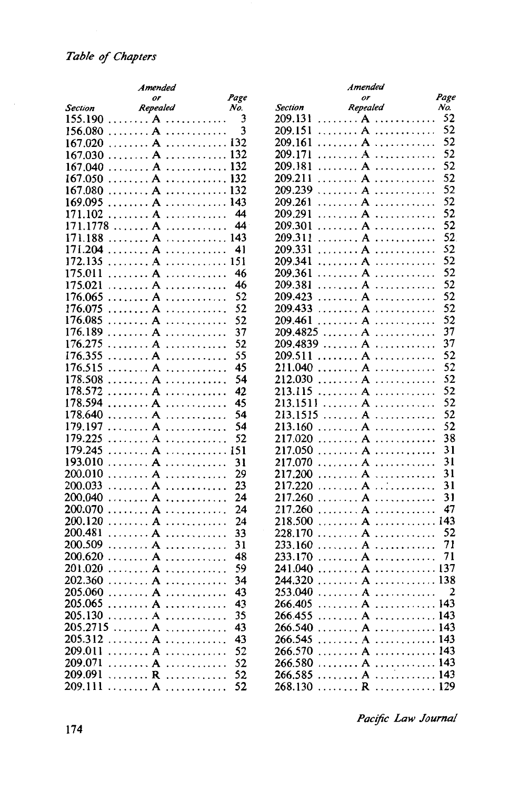|          | Amended           |      | Amended                       |      |
|----------|-------------------|------|-------------------------------|------|
|          | or                | Page | or                            | Page |
| Section  | Repealed          | No.  | Repealed<br><b>Section</b>    | No.  |
| 155.190  | . <b>. A</b>      | 3    | 209.131<br>. <b>A</b>         | 52   |
| 156.080  | $\ldots \ldots A$ |      | . <b>A</b><br>209.151         | 52   |
| 167.020  | . <b>A</b>        | 132  | . $A$<br>209.161              | 52   |
| 167.030  | . $A$             | 132  | 209.171                       | 52   |
| 167.040  |                   |      | 209.181<br>. <b>A</b><br>.    | 52   |
| 167.050  |                   | 132  | 209.211<br>. <b>A</b><br>.    | 52   |
| 167.080  | . $A$             | 132  | $\ldots \ldots A$<br>209.239  | 52   |
| 169.095  |                   | 143  | 209.261<br>. A<br>.           | 52   |
| 171.102  | . <b>A</b>        | 44   | 209.291<br>. <b>A</b>         | 52   |
| 171.1778 | . <b>A</b>        | 44   | 209.301<br>. <b>A</b>         | 52   |
| 171.188  |                   | 143  | 209.311<br>. $A$              | 52   |
| 171.204  |                   | 41   |                               | 52   |
|          | . <b>A</b><br>.   |      | 209.331                       |      |
| 172.135  | . <b>A</b>        | 151  | 209.341<br>. <b>. . A .</b> . | 52   |
| 175.011  | . <b>A</b>        | 46   | 209.361<br>. $A$              | 52   |
| 175.021  | . <b>A</b>        | 46   | 209.381                       | 52   |
| 176.065  |                   | 52   | 209.423                       | 52   |
| 176.075  | . <b>A</b>        | 52   | 209.433                       | 52   |
| 176.085  | . <b>A</b>        | 52   | 209.461                       | 52   |
| 176.189  | . <b>A</b>        | 37   | 209.4825 A A                  | 37   |
| 176.275  | . <b>A</b>        | 52   | 209.4839 A                    | 37   |
| 176.355  | . $A$             | 55   | 209.511                       | 52   |
| 176.515  |                   | 45   | 211.040<br>. <b>A</b>         | 52   |
| 178.508  | . $A$             | 54   | 212.030<br>. $A$              | 52   |
| 178.572  | . <b>A</b>        | 42   | 213.115                       | 52   |
| 178.594  | . <b>A</b>        | 45   | 213.1511<br>. <b>A</b>        | 52   |
| 178.640  | . <b>A</b>        | 54   | 213.1515<br>. $A$             | 52   |
| 179.197  | . <b>A</b><br>.   | 54   | 213.160                       | 52   |
| 179.225  | . <b>A</b>        | 52   | 217.020<br>. <b>A</b>         | 38   |
| 179.245  | . <b>A</b>        | 151  | $\ldots \ldots A$<br>217.050  | 31   |
| 193.010  | . <b>A</b>        | 31   | 217.070<br>. <b>A</b>         | 31   |
| 200.010  | . <b>A</b>        | 29   | 217.200<br>. <b>A</b>         | 31   |
| 200.033  |                   | 23   | 217.220<br>. <b>A</b><br>.    | 31   |
| 200.040  |                   | 24   | 217.260<br>. $A$              | 31   |
| 200.070  | . $A$             | 24   | 217.260                       | 47   |
| 200.120  |                   | 24   | A  143<br>218.500             |      |
| 200.481  | . <b>A</b>        | 33   | 228.170<br>. <b>A</b>         | 52   |
|          |                   |      | 233.160                       | 71   |
| 200.509  |                   | 31   | . <b>A</b>                    |      |
| 200.620  | . <b>A</b>        | 48   | 233.170<br>. <b>. A</b>       | 71   |
| 201.020  |                   | 59   | 241.040                       |      |
| 202.360  | . <b>A</b>        | 34   | A  138<br>244.320             |      |
| 205.060  | . <b>A</b>        | 43   | 253.040<br>$\mathbf{A}$       | 2    |
|          | $205.065$ A       | 43   | $266.405$ A  143              |      |
|          | 205.130 A         | 35   | 266.455 A                     |      |
|          | 205.2715 A A      | 43   | 266.540 A                     |      |
| 205.312  | . <b>A</b>        | 43   | $266.545$ A  143              |      |
|          | $209.011$ A       | 52   | $266.570$ A  143              |      |
| 209.071  | . <b>A</b>        | 52   | $266.580$ $A$ $\dots$ $143$   |      |
|          | 209.091  R        | 52   | 266.585 A143                  |      |
|          | $209.111$ A       | 52   |                               |      |
|          |                   |      |                               |      |

*Pacific Law Journal*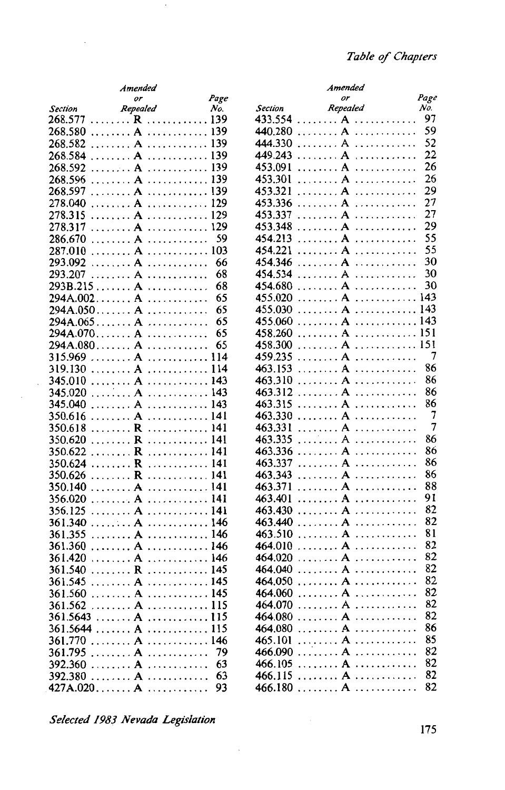|                                                     | Amended                                    |      |                | Amended                         |                |
|-----------------------------------------------------|--------------------------------------------|------|----------------|---------------------------------|----------------|
|                                                     | or                                         | Page |                | or                              | Pag            |
| <b>Section</b>                                      | Repealed                                   | No.  | <b>Section</b> | Repealed                        | No.            |
|                                                     |                                            |      |                |                                 | 91             |
| $268.580$ $A$ $A$ $139$                             |                                            |      |                | 440.280  A                      | 59             |
| $268.582$ A  139                                    |                                            |      |                | 444.330  A                      | 52             |
| $268.584$ A  139                                    |                                            |      |                | 449.243  A                      | $\overline{2}$ |
| $268.592$ A  139                                    |                                            |      |                | $453.091$ A                     | 2 <sub>0</sub> |
| $268.596$ A  139                                    |                                            |      |                | 453.301  A                      | 2 <sub>0</sub> |
| 268.597 A                                           |                                            |      |                | $453.321$ A                     | 2 <sup>0</sup> |
| $278.040$ A  129                                    |                                            |      |                | $453.336$ A                     | $\overline{2}$ |
|                                                     |                                            |      |                | 453.337 A                       | $\overline{2}$ |
| 278.317                                             | $\ldots \ldots A \ldots \ldots \ldots 129$ |      |                | $453.348$ A                     | 2 <sup>0</sup> |
|                                                     |                                            |      |                | $454.213$ A                     | 5.             |
|                                                     |                                            |      |                | $454.221$ A                     | 5.             |
| $293.092$ A                                         |                                            | 66   |                | $454.346$ A                     | 3 <sub>0</sub> |
| 293.207 A                                           |                                            | 68   |                | $454.534$ A                     | 3(             |
| 293B.215 A                                          |                                            | 68   |                | $454.680$ $A$ $\dots$           | 3 <sub>0</sub> |
| 294A.002 A                                          |                                            | 65   |                | $455.020$ A  143                |                |
|                                                     |                                            | 65   |                | $455.030$ A  143                |                |
| $294A.065 A$                                        |                                            | 65   |                | $455.060$ A  14.                |                |
|                                                     |                                            | 65   |                | 458.260  A  15                  |                |
| $294A.080 A$                                        |                                            | 65   |                |                                 |                |
| $315.969$ A  114                                    |                                            |      |                | 459.235  A                      |                |
| $319.130$ $A$ $114$                                 |                                            |      |                | $463.153$ A                     | 8              |
| $345.010$ A  143                                    |                                            |      |                |                                 | 80             |
| $345.020$ A  143                                    |                                            |      |                | $463.312$ A                     | 80             |
| $345.040$ A  143                                    |                                            |      |                | 463.315 A                       | 86             |
| $350.616$ A  141                                    |                                            |      |                |                                 |                |
| $350.618$ R  141                                    |                                            |      |                | $463.331$ A                     |                |
|                                                     |                                            |      |                | 463.335A                        | 80             |
| $350.620$ R  141<br>$350.622$ R  141                |                                            |      |                | $463.336$ A                     | 80             |
| $350.624$ R  141                                    |                                            |      |                | 463.337 A                       | 8              |
|                                                     |                                            |      |                |                                 | 80             |
| $350.626$ R  141                                    |                                            |      |                | $463.343$ A                     | 88             |
| $350.140$ A  141                                    |                                            |      |                | $463.371$ A<br>463.401  A       | 91             |
| $356.020$ A  141                                    |                                            |      |                |                                 | 82             |
| $356.125$ A  141                                    |                                            |      |                |                                 | 82             |
| $361.340$ $A$ $$ $146$                              |                                            |      |                | 463.440A                        | 8              |
|                                                     |                                            |      |                | $463.510$ $A$                   | 82             |
| $361.360$ $A$ $$ $146$                              |                                            |      |                | 464.010  A                      |                |
| 361.420                                             |                                            |      |                | $464.020$ A                     | 82             |
| $361.540$ $\ldots$ $\ldots$ $\ldots$ $\ldots$ $145$ |                                            |      |                | 464.040  A                      | 82             |
| $361.545$ A  145                                    |                                            |      |                | 464.050  A                      | 82             |
| 361.560                                             | $\ldots$ . A $\ldots$ . 145                |      | 464.060        | $\ldots$ $A$ $\ldots$ $\ldots$  | 81             |
| $361.562$ A  115                                    |                                            |      |                | 464.070 A                       | 82             |
| $361.5643$ A  115                                   |                                            |      |                | 464.080  A                      | 82             |
| $361.5644$ A  115                                   |                                            |      |                | 464.080  A                      | 8              |
| $361.770$ A  146                                    |                                            |      |                | $465.101$ A                     | 8:             |
| $361.795$ A                                         |                                            | 79   |                | $466.090$ $\ldots$ $A$ $\ldots$ | 82             |
|                                                     |                                            | 63   |                | $466.105$ A                     | 8.             |
| $392.380$ A                                         |                                            | 63   |                | 466.115 A                       | 82             |
| 427A.020 A A                                        |                                            |      |                | 466.180 A                       | 82             |

 $\cdot$ 

|            | Amended                                              |       | Amended                                                 |                |
|------------|------------------------------------------------------|-------|---------------------------------------------------------|----------------|
|            | or                                                   | Page  | or                                                      | Page           |
| Section    | Repealed                                             | No.   | Repealed<br>Section                                     | No.            |
| 268.577    |                                                      |       | 433.554<br>. <b>A</b>                                   | 97             |
| 268.580    |                                                      |       | 440.280<br>. <b>A</b>                                   | 59             |
| 268.582    |                                                      |       | 444.330<br>. <b>A</b><br>.                              | 52             |
| 268.584    | $\ldots \ldots$ A $\ldots \ldots \ldots$ 139         |       | . <b>A</b><br>449.243<br>.                              | 22             |
| 268.592    | $\ldots \ldots$ A $\ldots \ldots \ldots \ldots$ 139  |       | . <b>A</b><br>453.091<br>1.1.1.1.1.1.1.1.1.1            | 26             |
| 268.596    | . $A$                                                | . 139 | 453.301<br>. <b>A</b><br>. <i>.</i>                     | 26             |
| 268.597    |                                                      |       | 453.321<br>. <b>A</b><br>.                              | 29             |
| 278.040    | . <b>A</b><br>.                                      | 129   | . A<br>453.336<br>.                                     | 27             |
| 278.315    | $\ldots \ldots A \ldots \ldots \ldots$               | 129   | $\ldots \ldots A$<br>453.337                            | 27             |
| 278.317    | . <b>A</b>                                           | 129   | 453.348<br>. A<br>.                                     | 29             |
| 286.670    | . $A$                                                | 59    | 454.213<br>. <b>A</b>                                   | 55             |
| 287.010    | . $A$                                                | 103   | . $A$<br>454.221                                        | 55             |
| 293.092    | $\ldots \ldots A \ldots \ldots \ldots$               | 66    | $\ldots \ldots A \ldots \ldots \ldots$<br>454.346       | 30             |
| 293.207    | . <b>. A</b>                                         | 68    | 454.534                                                 | 30             |
| 293B.215 A | .                                                    | 68    | . A<br>454.680<br>.                                     | 30             |
|            | 294A.002 A                                           | 65    | $\ldots \ldots A \ldots \ldots \ldots$<br>455.020       | 143            |
|            | $294A.050 A$                                         | 65    | $\ldots \ldots$ A $\ldots \ldots \ldots$<br>455.030     | 143            |
|            | $294A.065 A$                                         | 65    | 455.060<br>. <b>A</b>                                   | 143            |
|            | $294A.070 A$                                         | 65    | 458.260                                                 | 151            |
|            | $294A.080 A$                                         | 65    | $\ldots \ldots$ A $\ldots \ldots \ldots$ 151<br>458.300 |                |
| 315.969    |                                                      |       | 459.235<br>. <b>A</b><br>.                              | 7              |
| 319.130    | . <b>A</b>                                           | 114   | . <b>A</b><br>463.153<br>.                              | 86             |
| 345.010    | $\ldots \ldots A$                                    | 143   | $\ldots \ldots A \ldots \ldots \ldots$<br>463.310       | 86             |
| 345.020    | . <b>A</b>                                           | 143   | $\ldots$ $A$ $\ldots$ $\ldots$<br>463.312               | 86             |
| 345.040    | . <b>A</b>                                           | 143   | 463.315<br>. <b>A</b>                                   | 86             |
| 350.616    | . <b>A</b><br>.                                      |       | 463.330                                                 | 7              |
| 350.618    | . <b>R</b><br>.                                      | 141   | 463.331                                                 | $\overline{7}$ |
| 350.620    | $\ldots \ldots R$<br>.                               | 141   | 463.335<br>. <b>A</b><br>.                              | 86             |
| 350.622    | . <b>R</b><br>.                                      |       | 463.336<br>. <b>A</b><br>.                              | 86             |
| 350.624    | R<br>. <i>.</i><br>.                                 |       | . <b>A</b><br>463.337<br>.                              | 86             |
| 350.626    | . <b>R</b>                                           | 141   | 463.343                                                 | 86             |
| 350.140    | . <b>A</b><br>.                                      | 141   | . A<br>463.371<br>.                                     | 88             |
| 356.020    | . <b>A</b>                                           |       | 463.401                                                 | 91             |
| 356.125    | . <b>A</b>                                           | 141   | . $A$<br>463.430                                        | 82             |
| 361.340    | $\ldots \ldots A \ldots \ldots \ldots$               | 146   | . $A$<br>463.440                                        | 82             |
| 361.355    | . <b>A</b>                                           | 146   | 463.510                                                 | 81             |
| 361.360    | $\ldots \ldots A$<br>.                               | 146   | . <b>A</b><br>464.010<br>.                              | 82             |
| 361.420    | . <b>A</b>                                           | 146   | 464.020                                                 | 82             |
| 361.540    | . <b>R</b>                                           | . 145 | . <b>A</b><br>464.040<br>.                              | 82             |
| 361.545    |                                                      |       | $\ldots \ldots A \ldots \ldots \ldots$<br>464.050       | 82             |
|            | $361.560$ A  145                                     |       |                                                         | 82             |
|            | $361.562$ A  115                                     |       | 464.070 A                                               | 82             |
|            | 361.5643 A115                                        |       | 464.080  A                                              | 82             |
|            | $361.5644$ A  115                                    |       |                                                         | 86             |
|            | $361.770 \ldots \ldots$ A $\ldots \ldots \ldots 146$ |       | $465.101 \ldots \ldots \ldots$ $A \ldots \ldots \ldots$ | 85             |
|            | $361.795$ A                                          | 79    | $466.090$ $A$                                           | 82             |
|            |                                                      | 63    | $466.105$ A                                             | 82             |
|            |                                                      | 63    | $466.115$ A                                             | 82             |
|            | $427A.020 A$                                         | 93    | 466.180 A                                               | 82             |
|            |                                                      |       |                                                         |                |

*Selected 198.J Nevada Legislation* 175

 $\ddot{\phantom{a}}$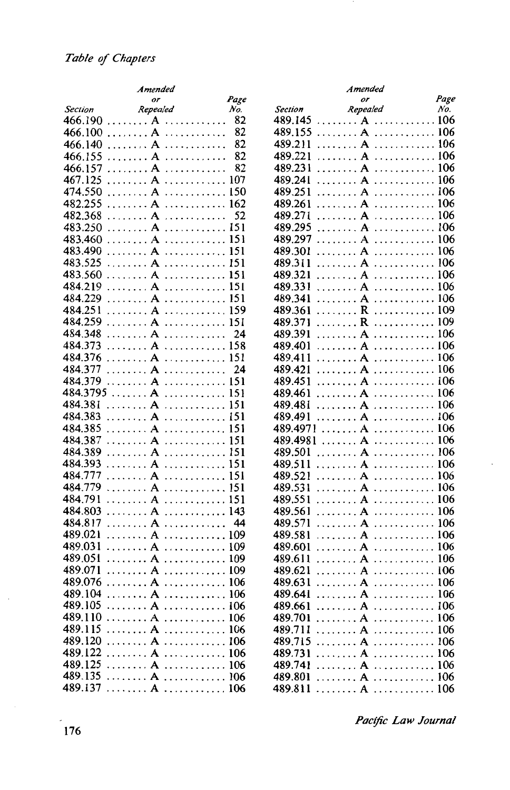|                | Amended                                             |      | Amended                                                 |      |
|----------------|-----------------------------------------------------|------|---------------------------------------------------------|------|
|                | or                                                  | Page | or                                                      | Page |
| <b>Section</b> | Repealed                                            | No.  | Repealed<br><b>Section</b>                              | No.  |
| 466.190        | . A<br>.                                            | 82   | 489.145<br>. A<br>.                                     | 106  |
| 466.100        | . <b>A</b>                                          | 82   | $\ldots \ldots$ A $\ldots \ldots \ldots 106$<br>489.155 |      |
| 466.140        | . <b>A</b><br>.                                     | 82   | 489.211<br>. <b>A</b>                                   | 106  |
| 466.155<br>.   | A<br>.                                              | 82   | 489.221                                                 | 106  |
| 466.157        |                                                     | 82   | 489.231                                                 | 106  |
| .              | .                                                   |      |                                                         | 106  |
| 467.125<br>.   |                                                     |      | 489.241                                                 |      |
| 474.550        | $\ldots \ldots$ A $\ldots \ldots \ldots$            | 150  | 489.251<br>. $A$                                        | 106  |
| 482.255        |                                                     |      | 489.261                                                 |      |
| 482.368        |                                                     | 52   | 489.271                                                 |      |
| 483.250<br>.   |                                                     |      | $\ldots \ldots A \ldots \ldots$<br>489.295              | 106  |
| 483.460        |                                                     |      | 489.297<br>. <b>A</b>                                   | 106  |
| 483.490        | . <b>A</b>                                          | 151  | 489.301<br>. <b>A</b>                                   | 106  |
| 483.525        | . $A$                                               | 151  | 489.311                                                 | 106  |
| 483.560        |                                                     | 151  | $\ldots \ldots A \ldots \ldots \ldots$<br>489.321       | 106  |
| 484.219        |                                                     | 151  | 489.331<br>. $A$                                        | 106  |
| 484.229        |                                                     |      | 489.341                                                 |      |
| 484.251        |                                                     | 159  | R  109<br>489.361                                       |      |
| 484.259        |                                                     |      | R  109<br>489.371                                       |      |
| 484.348        |                                                     | 24   | 489.391<br>. <b>A</b>                                   | 106  |
|                |                                                     |      | . <b>A</b>                                              | 106  |
| 484.373        |                                                     |      | 489.401                                                 | 106  |
| 484.376<br>.   | A                                                   | 151  | . <b>A</b><br>489.411                                   |      |
| 484.377        | . <b>A</b>                                          | 24   | . $A$<br>489.421                                        | 106  |
| 484.379        | . A 151                                             |      | A  106<br>489.451                                       |      |
| 484.3795       | A  151                                              |      | 489.461<br>. <b>A</b>                                   | 106  |
| 484.381        | . <b>A</b>                                          | 151  | 489.481                                                 |      |
| 484.383        | . <b>A</b>                                          | 151  | $\ldots \ldots A \ldots \ldots \ldots$<br>489.491       | 106  |
| 484.385        |                                                     |      | 489.4971<br>. <b>A</b>                                  | 106  |
| 484.387<br>.   | A                                                   |      | 489.4981<br>. <b>A</b>                                  | 106  |
| 484.389        | . $A$                                               | 151  | . $A$<br>489.501                                        | 106  |
| 484.393        | . $A$                                               | 151  | 489.511<br>. $A$                                        | 106  |
| 484.777        |                                                     | 151  | A  106<br>489.521                                       |      |
| 484.779        |                                                     |      | 489.531                                                 |      |
| 484.791        |                                                     |      | 489.551                                                 |      |
| 484.803        | $\ldots \ldots$ A $\ldots \ldots \ldots \ldots$ 143 |      | 489.561                                                 |      |
| 484.817        | . <i>. .</i> <b>A</b>                               | 44   | 489.571                                                 | 106  |
| 489.021        |                                                     | 109  | 489.581<br>. <b>A</b>                                   | 106  |
| .<br>489.031   | A<br>A  109                                         |      | $\ldots \ldots$ A $\ldots \ldots \ldots \ldots 106$     |      |
|                |                                                     |      | 489.601                                                 |      |
| 489.051        |                                                     |      | 489.611                                                 |      |
| 489.071        |                                                     |      | 489.621                                                 |      |
| 489.076        |                                                     |      | 489.631                                                 |      |
| 489.104        | . <b>A</b>                                          | 106  | . <b>A</b><br>$\ldots$ . 106<br>489.641                 |      |
|                | 489.105  A  106                                     |      | 489.661  A  106                                         |      |
|                | 489.110 $A$ 106                                     |      | 489.701  A  106                                         |      |
| 489.115        |                                                     |      | 489.711<br>A  106                                       |      |
|                | 489.120  A  106                                     |      | 489.715  A  106                                         |      |
|                | 489.122  A  106                                     |      | 489.731  A  106                                         |      |
|                |                                                     |      | 489.741  A  106                                         |      |
| 489.135        |                                                     |      | 489.801  A  106                                         |      |
|                | 489.137  A  106                                     |      | 489.811  A  106                                         |      |
|                |                                                     |      |                                                         |      |

| ended  |                  | Amended                                                               |      |
|--------|------------------|-----------------------------------------------------------------------|------|
| or     | Page             | or                                                                    | Page |
| realed | No.              | Repealed<br><b>Section</b>                                            | No.  |
|        | 82<br>A          | . 106<br>489.145<br>. <b>A</b>                                        |      |
|        | 82<br>A          | $\ldots \ldots$ A $\ldots \ldots \ldots 106$<br>489.155               |      |
|        | 82<br>A          | . 106<br>489.211<br>. A                                               |      |
|        | 82<br>A          | . 106<br>489.221<br>. <b>A</b>                                        |      |
|        | 82<br>A          | 489.231<br>. A<br>.                                                   | 106  |
|        | A  107           | . A<br>. 106<br>489.241                                               |      |
|        | 150<br>A         | . 106<br>489.251<br>. <b>A</b>                                        |      |
|        | A 162            | 489.261                                                               |      |
|        | 52               | . 106<br>489.271<br>. A                                               |      |
|        | A<br>A 151       | . 106<br>489.295<br>. <b>A</b>                                        |      |
|        |                  |                                                                       |      |
|        | 151<br>A         | . 106<br>. . <b>.</b> A<br>489.297                                    |      |
|        | 151<br>A         | . 106<br>489.301<br>. A                                               |      |
|        | 151<br>A         | . 106<br>489.311<br>. <b>A</b>                                        |      |
|        | 151<br>A         | . <b>A</b><br>. 106<br>489.321                                        |      |
|        | A<br>151         | . 106<br>489.331<br>. A                                               |      |
|        | A  151           | . 106<br>489.341<br>. A                                               |      |
|        | 159<br>A         | . 109<br>489.361<br>. <b>R</b>                                        |      |
|        | A  151           | . <b>R</b><br>. 109<br>489.371                                        |      |
|        | A<br>24          | . 106<br>489.391<br>. A                                               |      |
|        | A 158            | 489.401<br>. <b>A</b><br>.                                            | 106  |
|        | A 151            | . 106<br>489.411<br>. <b>A</b>                                        |      |
|        | 24<br>A          | . <b>A</b><br>. 106<br>489.421                                        |      |
|        | 151<br>A         | . 106<br>489.451<br>. <b>A</b>                                        |      |
|        | A  151           | 489.461                                                               |      |
|        | 151<br>A         | . 106<br>489.481<br>. A                                               |      |
|        | 151<br>A         | . 106<br>. <b>A</b><br>489.491                                        |      |
|        | A<br>151         | . 106<br>489.4971<br>. <b>A</b>                                       |      |
|        | 151<br>A         | 489.4981<br>. A<br>.                                                  | 106  |
|        | 151<br>A <i></i> | . <b>A</b><br>. 106<br>489.501                                        |      |
|        | 151<br>A         | 489.511<br>. A<br>. 106                                               |      |
|        | A<br>151         | . 106<br>489.521<br>. <b>A</b>                                        |      |
|        | 151<br>A         | . 106<br>489.531<br>. A                                               |      |
|        | A  151           | . <b>A</b><br>. 106<br>489.551                                        |      |
|        | A 143            | . 106<br>489.561<br>. <b>A</b>                                        |      |
|        | 44<br>A          | 489.571<br>. A<br>.                                                   | 106  |
|        | A 109            | 489.581<br>.<br>. <b>A</b>                                            | 106  |
|        | A 109            | 489.601<br>$\ldots \ldots A \ldots \ldots \ldots 106$                 |      |
|        | A  109           | . 106<br>489.611<br>. A                                               |      |
|        | A 109            | 489.621                                                               |      |
|        | A  106           | 489.631                                                               |      |
| A      | 106<br>.         | 489.641<br>$\overline{\mathbf{A}}$                                    | 106  |
|        | A 106            | $\ldots \ldots A \ldots \ldots \ldots 106$<br>489.661                 |      |
|        | A  106           | 489.701                                                               |      |
|        | A  106           | A  106<br>489.711                                                     |      |
|        | A 106            | $\ldots \ldots$ A $\ldots \ldots \ldots 106$<br>489.715               |      |
|        | A  106           | A  106<br>489.731                                                     |      |
|        | A  106           | $\ldots \ldots \ldots$ A $\ldots \ldots \ldots \ldots 106$<br>489.741 |      |
|        | A 106            | $\ldots \ldots A \ldots \ldots \ldots 106$<br>489.801                 |      |
| A      | 106              | 489811<br>$\blacktriangle$                                            | 106  |

*Pac(jic Law Journal*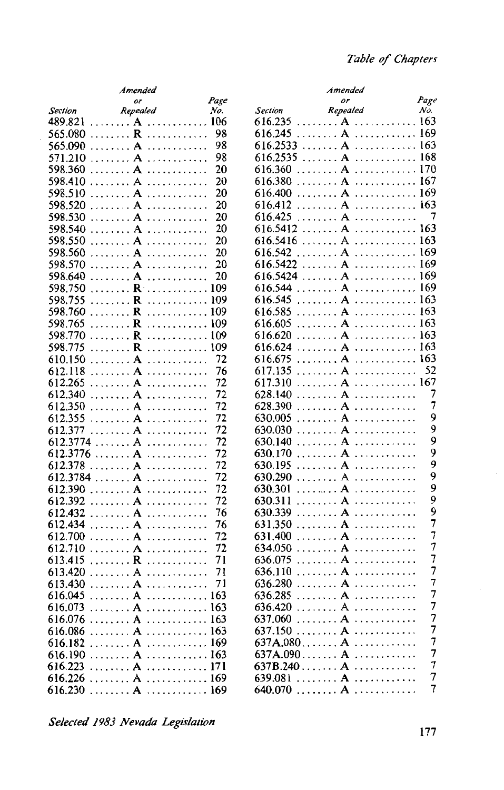|                             | Amended                                                           |      |                       | Amended                                             |                |
|-----------------------------|-------------------------------------------------------------------|------|-----------------------|-----------------------------------------------------|----------------|
|                             | or                                                                | Page |                       | or                                                  | Page           |
| <b>Section</b>              | Repealed                                                          | No.  | <b>Section</b>        | Repealed                                            | No.            |
| 489.821                     |                                                                   |      | 616.235               | $\ldots \ldots A \ldots \ldots \ldots 163$          |                |
| 565.080                     |                                                                   | 98   | 616.245               | $\ldots \ldots$ A $\ldots \ldots \ldots \ldots$ 169 |                |
| . <b>A</b><br>565.090       | .                                                                 | 98   | 616.2533              | $\ldots \ldots A \ldots \ldots \ldots 163$          |                |
| 571.210                     | $\ldots \ldots A \ldots \ldots \ldots$                            | 98   |                       | 616.2535 A A                                        |                |
| 598.360                     | . $A$                                                             | 20   | 616.360               | . $A$                                               | 170            |
| 598.410                     | . <b>A</b>                                                        | 20   | 616.380               | . A<br>.                                            | 167            |
| 598.510                     | $\ldots \ldots A \ldots \ldots \ldots$                            | 20   | 616.400               |                                                     | 169            |
| 598.520                     | $\ldots \ldots A \ldots \ldots \ldots$                            | 20   | 616.412               | $\ldots \ldots$ A $\ldots \ldots \ldots \ldots$ 163 |                |
| 598.530                     | . <b>A</b>                                                        | 20   | 616.425               |                                                     | 7              |
|                             |                                                                   | 20   | 616.5412              |                                                     |                |
| 598.540                     |                                                                   |      |                       |                                                     | 163            |
| 598.550                     | . <b>A</b>                                                        | 20   |                       | 616.5416 A A                                        |                |
| 598.560                     | . <b>A</b>                                                        | 20   | 616.542               | A  169                                              |                |
| 598.570                     | . <b>A</b>                                                        | 20   |                       | 616.5422 A                                          | 169            |
| 598.640                     | $\ldots \ldots A$                                                 | 20   | 616.5424              |                                                     | 169            |
| 598.750                     | $\ldots \ldots \ldots \mathbf{R} \ldots \ldots \ldots \ldots 109$ |      | 616.544               |                                                     | 169            |
| . <b>R</b><br>598.755       | . 109                                                             |      | 616.545               | . $A$                                               | 163            |
| 598.760                     | $\ldots \ldots \ldots \mathbf{R} \ldots \ldots \ldots \ldots 109$ |      | 616.585               |                                                     | 163            |
| 598.765<br>. <b>R</b>       | . 109                                                             |      | 616.605               | . $A$                                               | 163            |
| 598.770                     | $\ldots \ldots \ldots \mathbf{R} \ldots \ldots \ldots \ldots 109$ |      | 616.620               | . $A$                                               | 163            |
| . <b>R</b><br>598.775       | . 109                                                             |      | 616.624               | . <b>A</b>                                          | 163            |
| 610.150                     | . <b>A</b>                                                        | 72   | 616.675               | . <b>A</b><br>.                                     | 163            |
| 612.118                     | $\ldots \ldots \mathbf{A} \ldots \ldots \ldots$                   | 76   | 617.135               |                                                     | 52             |
| 612.265                     | $\ldots \ldots A \ldots \ldots \ldots$                            | 72   | 617.310               |                                                     |                |
| 612.340                     | . <b>A</b>                                                        | 72   | 628.140               |                                                     | 7              |
| 612.350                     |                                                                   | 72   | 628.390               | . <b>. A</b>                                        | 7              |
| 612.355                     |                                                                   | 72   | 630.005               |                                                     | 9              |
| 612.377                     | $\ldots \ldots A \ldots \ldots \ldots$                            | 72   | 630.030               | . $A$                                               | 9              |
| 612.3774 A                  |                                                                   | 72   | 630.140               | . <b>A</b>                                          | 9              |
| 612.3776 A                  |                                                                   | 72   | 630.170               | . <b>A</b><br>.                                     | 9              |
|                             |                                                                   | 72   |                       |                                                     | 9              |
| 612.378                     | . <b>A</b>                                                        |      | 630.195               |                                                     | 9              |
| $612.3784$ A                |                                                                   | 72   | 630.290               | . $\bf{A}$                                          | 9              |
| 612.390                     |                                                                   | 72   | 630.301               | . <b>A</b>                                          | 9              |
| 612.392                     | $\ldots \ldots A \ldots \ldots \ldots$                            | 72   | 630.311               |                                                     | 9              |
| 612.432                     | $\ldots \ldots A \ldots \ldots \ldots$                            | 76   | 630.339               |                                                     |                |
| 612.434                     | . <b>A</b>                                                        | 76   | 631.350               |                                                     | 7              |
| 612.700                     | $\ldots \ldots A$                                                 | 72   | 631.400               | . A<br>.                                            | 7              |
| 612.710                     | $\ldots \ldots A \ldots \ldots \ldots$                            | 72   | 634.050               |                                                     | 7              |
| 613.415                     |                                                                   | 71   | 636.075               |                                                     | $\overline{7}$ |
| 613.420                     |                                                                   | 71   | 636.110               |                                                     | 7              |
| 613.430                     | . <b>A</b>                                                        | 71   | 636.280               | . <b>A</b>                                          | 7              |
| . <b>A</b><br>616.045       |                                                                   | 163  | . <b>A</b><br>636.285 |                                                     | 7              |
| $616.073$ A  163            |                                                                   |      |                       | 636.420 A                                           | 7              |
| $616.076$ A  163            |                                                                   |      |                       | $637.060$ A                                         | 7              |
| $616.086$ A  163            |                                                                   |      |                       | $637.150$ $A$                                       | 7              |
| $616.182$ A  169            |                                                                   |      |                       | $637A.080$ $A$ $\dots$                              | $\overline{7}$ |
| $616.190$ $A$ $\dots$ $163$ |                                                                   |      |                       |                                                     | 7              |
| $616.223$ A  171            |                                                                   |      |                       |                                                     | 7              |
| $616.226$ A  169            |                                                                   |      |                       | 639.081  A                                          | 7              |
| $616.230$ $A$ $169$         |                                                                   |      |                       |                                                     | 7              |
|                             |                                                                   |      |                       |                                                     |                |

*Selected 1983 Nevada Legislation*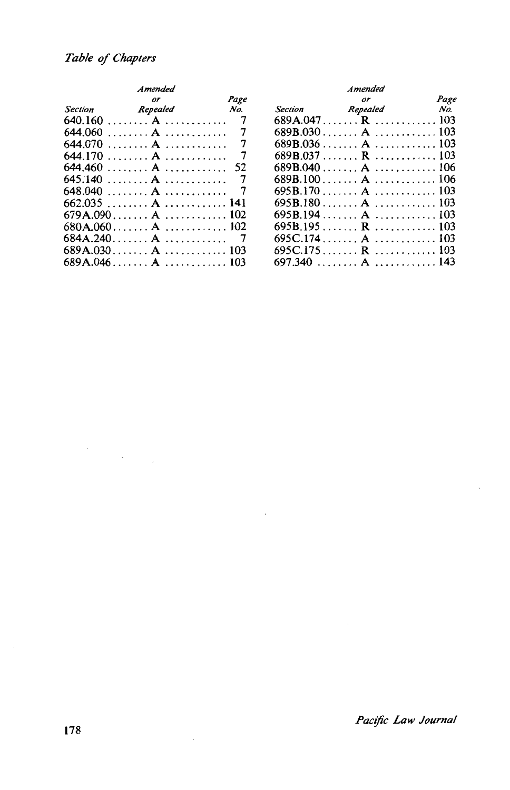$\label{eq:2} \frac{1}{\sqrt{2}}\left(\frac{1}{\sqrt{2}}\right)^{2} \left(\frac{1}{\sqrt{2}}\right)^{2} \left(\frac{1}{\sqrt{2}}\right)^{2} \left(\frac{1}{\sqrt{2}}\right)^{2} \left(\frac{1}{\sqrt{2}}\right)^{2} \left(\frac{1}{\sqrt{2}}\right)^{2} \left(\frac{1}{\sqrt{2}}\right)^{2} \left(\frac{1}{\sqrt{2}}\right)^{2} \left(\frac{1}{\sqrt{2}}\right)^{2} \left(\frac{1}{\sqrt{2}}\right)^{2} \left(\frac{1}{\sqrt{2}}\right)^{2} \left(\frac{$ 

| Amended                      |          | Amended |         |                 |      |
|------------------------------|----------|---------|---------|-----------------|------|
|                              | or       | Page    |         | or              | Page |
| Section                      | Repealed | $N_o$   | Section | Repealed        | No.  |
|                              |          |         |         | 689A.047 R  103 |      |
|                              |          |         |         |                 |      |
|                              |          |         |         |                 |      |
|                              |          |         |         |                 |      |
| $644.460$ A  52              |          |         |         |                 |      |
| 645.140  A                   |          |         |         | 689B.100A 106   |      |
|                              |          |         |         |                 |      |
| $662.035$ A  141             |          |         |         |                 |      |
| 679A.090 A A                 |          |         |         | 695B.194 A  103 |      |
| $680A.060$ $A$ $\dots$ $102$ |          |         |         |                 |      |
|                              |          |         |         |                 |      |
| $689A.030$ $A$ $\dots$ $103$ |          |         |         | 695C.175 R  103 |      |
| $689A.046$ $A$ $\dots$ $103$ |          |         |         | 697.340  A  143 |      |

|         | Amended                      |       | Amended               |      |
|---------|------------------------------|-------|-----------------------|------|
|         | or                           | Page  | or                    | Page |
| Section | Repealed                     | $N_o$ | Section Repealed      | No.  |
|         |                              |       | $689A.047$ R $$ $103$ |      |
|         | 644.060  A  7                |       | 689B.030 A A          |      |
|         | 644.070  A                   |       | 689B.036  A  103      |      |
|         | 644.170  A                   |       | 689B.037 R  103       |      |
|         | $644.460 \ldots A \ldots 52$ |       |                       |      |
|         | 645.140  A                   |       | 689B.100 A  106       |      |
|         | 648.040  A  7                |       |                       |      |
|         | 662.035  A  141              |       |                       |      |
|         | 679A.090 A  102              |       | 695B.194 A  103       |      |
|         |                              |       | 695B.195 R  103       |      |
|         | 684A.240. A 7                |       | 695C.174 A A          |      |
|         | 689A.030 A  103              |       | $695C.175$ R  103     |      |
|         |                              |       | $697.340$ $A$ $143$   |      |

*Pacific Law Journal*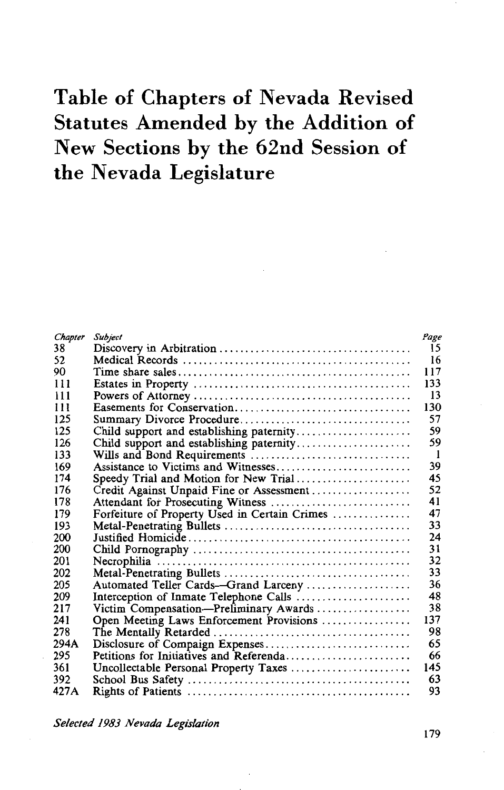# **Table of Chapters of Nevada Revised Statutes Amended by the Addition of New Sections by the 62nd Session of the Nevada Legislature**

| Chapter | <b>Subject</b>                                | Page |
|---------|-----------------------------------------------|------|
| 38      |                                               | 15   |
| 52      |                                               | 16   |
| 90      |                                               | 117  |
| 111     |                                               | 133  |
| 111     |                                               | 13   |
| 111     |                                               | 130  |
| 125     |                                               | 57   |
| 125     | Child support and establishing paternity      | 59   |
| 126     | Child support and establishing paternity      | 59   |
| 133     |                                               | -1   |
| 169     | Assistance to Victims and Witnesses           | 39   |
| 174     | Speedy Trial and Motion for New Trial         | 45   |
| 176     | Credit Against Unpaid Fine or Assessment      | 52   |
| 178     | Attendant for Prosecuting Witness             | 41   |
| 179     | Forfeiture of Property Used in Certain Crimes | 47   |
| 193     |                                               | 33   |
| 200     |                                               | 24   |
| 200     |                                               | 31   |
| 201     |                                               | 32   |
| 202     |                                               | 33   |
| 205     | Automated Teller Cards-Grand Larceny          | 36   |
| 209     | Interception of Inmate Telephone Calls        | 48   |
| 217     | Victim Compensation-Preliminary Awards        | 38   |
| 241     | Open Meeting Laws Enforcement Provisions      | 137  |
| 278     |                                               | 98   |
| 294A    | Disclosure of Compaign Expenses               | 65   |
| 295     | Petitions for Initiatives and Referenda       | 66   |
| 361     | Uncollectable Personal Property Taxes         | 145  |
| 392     |                                               | 63   |
| 427A    |                                               | 93   |
|         |                                               |      |

*Selected 1983 Nevada Legislation* 

179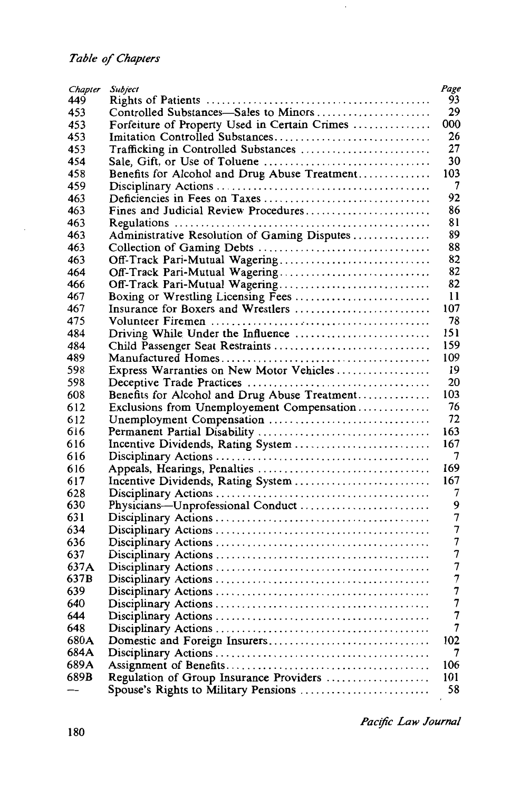| Chapter | <b>Subject</b>                                | Page<br>93               |
|---------|-----------------------------------------------|--------------------------|
| 449     |                                               |                          |
| 453     | Controlled Substances-Sales to Minors         | 29                       |
| 453     | Forfeiture of Property Used in Certain Crimes | 000                      |
| 453     |                                               | 26                       |
| 453     | Trafficking in Controlled Substances          | 27                       |
| 454     |                                               | 30                       |
| 458     | Benefits for Alcohol and Drug Abuse Treatment | 103                      |
| 459     |                                               | 7                        |
| 463     |                                               | 92                       |
| 463     | Fines and Judicial Review Procedures          | 86                       |
| 463     |                                               | 81                       |
| 463     | Administrative Resolution of Gaming Disputes  | 89                       |
| 463     |                                               | 88                       |
| 463     | Off-Track Pari-Mutual Wagering                | 82                       |
| 464     | Off-Track Pari-Mutual Wagering                | 82                       |
| 466     | Off-Track Pari-Mutual Wagering                | 82                       |
| 467     |                                               | 11                       |
| 467     | Insurance for Boxers and Wrestlers            | 107                      |
| 475     |                                               | 78                       |
| 484     |                                               | 151                      |
| 484     |                                               | 159                      |
| 489     |                                               | 109                      |
| 598     | Express Warranties on New Motor Vehicles      | 19                       |
| 598     |                                               | 20                       |
| 608     |                                               | 103                      |
| 612     | Benefits for Alcohol and Drug Abuse Treatment | 76                       |
| 612     | Exclusions from Unemployement Compensation    | 72                       |
| 616     |                                               | 163                      |
| 616     |                                               | 167                      |
| 616     | Incentive Dividends, Rating System            | 7                        |
|         |                                               |                          |
| 616     |                                               | 169                      |
| 617     | Incentive Dividends, Rating System            | 167                      |
| 628     |                                               | 7                        |
| 630     | Physicians-Unprofessional Conduct             | 9                        |
| 631     |                                               | 7                        |
| 634     |                                               | 7                        |
| 636     |                                               | 7                        |
| 637     |                                               | 7                        |
| 637A    |                                               | 7                        |
| 637B    |                                               | 7                        |
| 639     |                                               | $\overline{\mathcal{I}}$ |
| 640     |                                               | 7                        |
| 644     |                                               | 7                        |
| 648     |                                               | 7                        |
| 680A    |                                               | 102                      |
| 684A    |                                               | 7                        |
| 689A    |                                               | 106                      |
| 689B    | Regulation of Group Insurance Providers       | 101                      |
|         | Spouse's Rights to Military Pensions          | 58                       |

 $\hat{\boldsymbol{\cdot}$ 

*Pac(jic Law Journal*